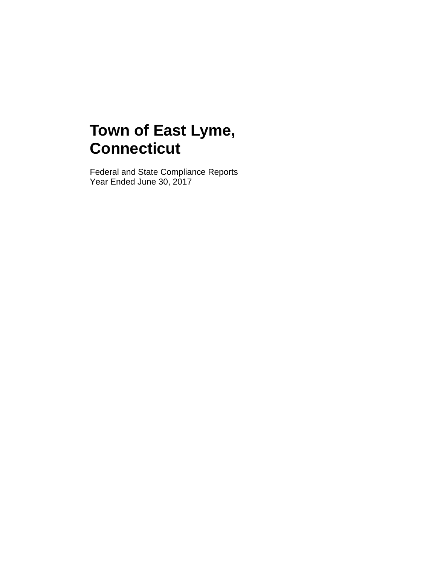Federal and State Compliance Reports Year Ended June 30, 2017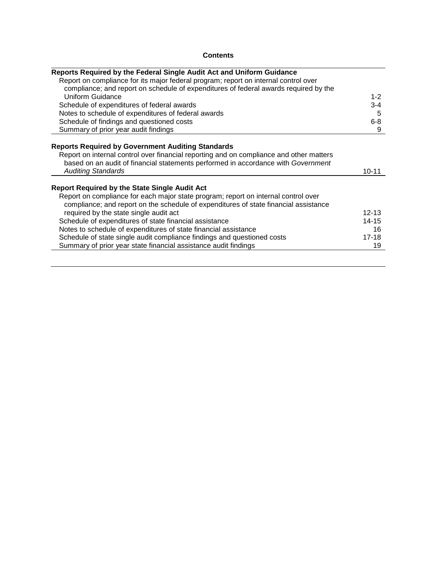# **Contents**

| Reports Required by the Federal Single Audit Act and Uniform Guidance                   |           |
|-----------------------------------------------------------------------------------------|-----------|
| Report on compliance for its major federal program; report on internal control over     |           |
| compliance; and report on schedule of expenditures of federal awards required by the    |           |
| Uniform Guidance                                                                        | $1 - 2$   |
| Schedule of expenditures of federal awards                                              | $3 - 4$   |
| Notes to schedule of expenditures of federal awards                                     | 5         |
| Schedule of findings and questioned costs                                               | $6 - 8$   |
| Summary of prior year audit findings                                                    | 9         |
|                                                                                         |           |
| <b>Reports Required by Government Auditing Standards</b>                                |           |
| Report on internal control over financial reporting and on compliance and other matters |           |
| based on an audit of financial statements performed in accordance with Government       |           |
| <b>Auditing Standards</b>                                                               | $10 - 11$ |
|                                                                                         |           |
| <b>Report Required by the State Single Audit Act</b>                                    |           |
| Report on compliance for each major state program; report on internal control over      |           |
| compliance; and report on the schedule of expenditures of state financial assistance    |           |
| required by the state single audit act                                                  | $12 - 13$ |
| Schedule of expenditures of state financial assistance                                  | $14 - 15$ |
| Notes to schedule of expenditures of state financial assistance                         | 16        |
| Schedule of state single audit compliance findings and questioned costs                 | $17 - 18$ |
| Summary of prior year state financial assistance audit findings                         | 19        |
|                                                                                         |           |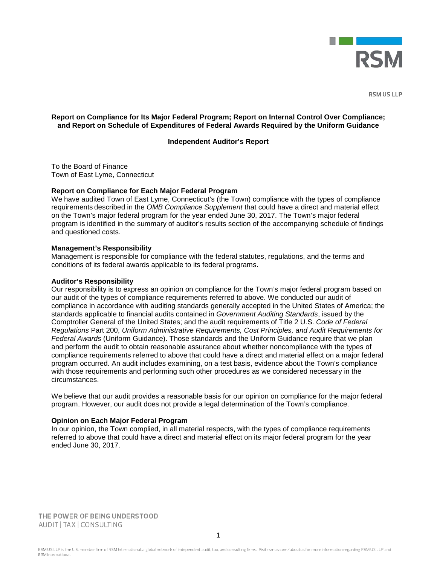

**RSM US LLP** 

# **Report on Compliance for Its Major Federal Program; Report on Internal Control Over Compliance; and Report on Schedule of Expenditures of Federal Awards Required by the Uniform Guidance**

#### **Independent Auditor's Report**

To the Board of Finance Town of East Lyme, Connecticut

#### **Report on Compliance for Each Major Federal Program**

We have audited Town of East Lyme, Connecticut's (the Town) compliance with the types of compliance requirements described in the *OMB Compliance Supplement* that could have a direct and material effect on the Town's major federal program for the year ended June 30, 2017. The Town's major federal program is identified in the summary of auditor's results section of the accompanying schedule of findings and questioned costs.

#### **Management's Responsibility**

Management is responsible for compliance with the federal statutes, regulations, and the terms and conditions of its federal awards applicable to its federal programs.

#### **Auditor's Responsibility**

Our responsibility is to express an opinion on compliance for the Town's major federal program based on our audit of the types of compliance requirements referred to above. We conducted our audit of compliance in accordance with auditing standards generally accepted in the United States of America; the standards applicable to financial audits contained in *Government Auditing Standards*, issued by the Comptroller General of the United States; and the audit requirements of Title 2 U.S. *Code of Federal Regulations* Part 200, *Uniform Administrative Requirements, Cost Principles, and Audit Requirements for Federal Awards* (Uniform Guidance). Those standards and the Uniform Guidance require that we plan and perform the audit to obtain reasonable assurance about whether noncompliance with the types of compliance requirements referred to above that could have a direct and material effect on a major federal program occurred. An audit includes examining, on a test basis, evidence about the Town's compliance with those requirements and performing such other procedures as we considered necessary in the circumstances.

We believe that our audit provides a reasonable basis for our opinion on compliance for the major federal program. However, our audit does not provide a legal determination of the Town's compliance.

#### **Opinion on Each Major Federal Program**

In our opinion, the Town complied, in all material respects, with the types of compliance requirements referred to above that could have a direct and material effect on its major federal program for the year ended June 30, 2017.

THE POWER OF BEING UNDERSTOOD AUDIT | TAX | CONSULTING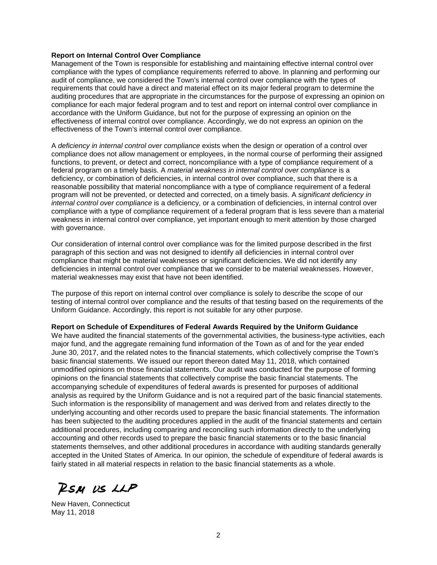#### **Report on Internal Control Over Compliance**

Management of the Town is responsible for establishing and maintaining effective internal control over compliance with the types of compliance requirements referred to above. In planning and performing our audit of compliance, we considered the Town's internal control over compliance with the types of requirements that could have a direct and material effect on its major federal program to determine the auditing procedures that are appropriate in the circumstances for the purpose of expressing an opinion on compliance for each major federal program and to test and report on internal control over compliance in accordance with the Uniform Guidance, but not for the purpose of expressing an opinion on the effectiveness of internal control over compliance. Accordingly, we do not express an opinion on the effectiveness of the Town's internal control over compliance.

A *deficiency in internal control over compliance* exists when the design or operation of a control over compliance does not allow management or employees, in the normal course of performing their assigned functions, to prevent, or detect and correct, noncompliance with a type of compliance requirement of a federal program on a timely basis. A *material weakness in internal control over compliance* is a deficiency, or combination of deficiencies, in internal control over compliance, such that there is a reasonable possibility that material noncompliance with a type of compliance requirement of a federal program will not be prevented, or detected and corrected, on a timely basis. A *significant deficiency in internal control over compliance* is a deficiency, or a combination of deficiencies, in internal control over compliance with a type of compliance requirement of a federal program that is less severe than a material weakness in internal control over compliance, yet important enough to merit attention by those charged with governance.

Our consideration of internal control over compliance was for the limited purpose described in the first paragraph of this section and was not designed to identify all deficiencies in internal control over compliance that might be material weaknesses or significant deficiencies. We did not identify any deficiencies in internal control over compliance that we consider to be material weaknesses. However, material weaknesses may exist that have not been identified.

The purpose of this report on internal control over compliance is solely to describe the scope of our testing of internal control over compliance and the results of that testing based on the requirements of the Uniform Guidance. Accordingly, this report is not suitable for any other purpose.

#### **Report on Schedule of Expenditures of Federal Awards Required by the Uniform Guidance**

We have audited the financial statements of the governmental activities, the business-type activities, each major fund, and the aggregate remaining fund information of the Town as of and for the year ended June 30, 2017, and the related notes to the financial statements, which collectively comprise the Town's basic financial statements. We issued our report thereon dated May 11, 2018, which contained unmodified opinions on those financial statements. Our audit was conducted for the purpose of forming opinions on the financial statements that collectively comprise the basic financial statements. The accompanying schedule of expenditures of federal awards is presented for purposes of additional analysis as required by the Uniform Guidance and is not a required part of the basic financial statements. Such information is the responsibility of management and was derived from and relates directly to the underlying accounting and other records used to prepare the basic financial statements. The information has been subjected to the auditing procedures applied in the audit of the financial statements and certain additional procedures, including comparing and reconciling such information directly to the underlying accounting and other records used to prepare the basic financial statements or to the basic financial statements themselves, and other additional procedures in accordance with auditing standards generally accepted in the United States of America. In our opinion, the schedule of expenditure of federal awards is fairly stated in all material respects in relation to the basic financial statements as a whole.

**RSM US LLP** 

New Haven, Connecticut May 11, 2018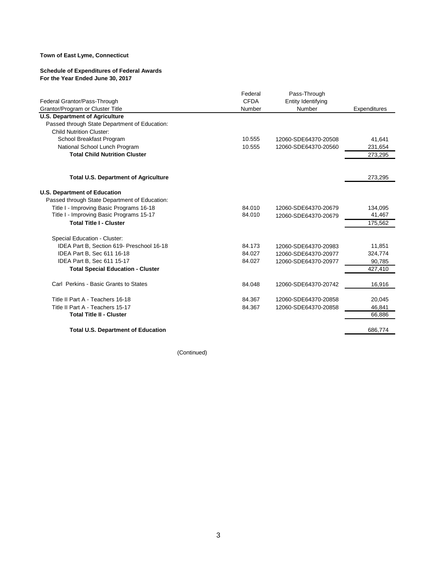#### **Schedule of Expenditures of Federal Awards For the Year Ended June 30, 2017**

|                                               | Federal     | Pass-Through         |              |
|-----------------------------------------------|-------------|----------------------|--------------|
| Federal Grantor/Pass-Through                  | <b>CFDA</b> | Entity Identifying   |              |
| Grantor/Program or Cluster Title              | Number      | Number               | Expenditures |
| <b>U.S. Department of Agriculture</b>         |             |                      |              |
| Passed through State Department of Education: |             |                      |              |
| <b>Child Nutrition Cluster:</b>               |             |                      |              |
| School Breakfast Program                      | 10.555      | 12060-SDE64370-20508 | 41,641       |
| National School Lunch Program                 | 10.555      | 12060-SDE64370-20560 | 231,654      |
| <b>Total Child Nutrition Cluster</b>          |             |                      | 273,295      |
|                                               |             |                      |              |
| <b>Total U.S. Department of Agriculture</b>   |             |                      | 273,295      |
| <b>U.S. Department of Education</b>           |             |                      |              |
| Passed through State Department of Education: |             |                      |              |
| Title I - Improving Basic Programs 16-18      | 84.010      | 12060-SDE64370-20679 | 134,095      |
| Title I - Improving Basic Programs 15-17      | 84.010      | 12060-SDE64370-20679 | 41,467       |
| <b>Total Title I - Cluster</b>                |             |                      | 175,562      |
| Special Education - Cluster:                  |             |                      |              |
| IDEA Part B. Section 619- Preschool 16-18     | 84.173      | 12060-SDE64370-20983 | 11,851       |
| IDEA Part B, Sec 611 16-18                    | 84.027      | 12060-SDE64370-20977 | 324,774      |
| IDEA Part B, Sec 611 15-17                    | 84.027      | 12060-SDE64370-20977 | 90,785       |
| <b>Total Special Education - Cluster</b>      |             |                      | 427,410      |
| Carl Perkins - Basic Grants to States         | 84.048      | 12060-SDE64370-20742 | 16,916       |
|                                               |             |                      |              |
| Title II Part A - Teachers 16-18              | 84.367      | 12060-SDE64370-20858 | 20,045       |
| Title II Part A - Teachers 15-17              | 84.367      | 12060-SDE64370-20858 | 46,841       |
| <b>Total Title II - Cluster</b>               |             |                      | 66,886       |
| <b>Total U.S. Department of Education</b>     |             |                      | 686,774      |

(Continued)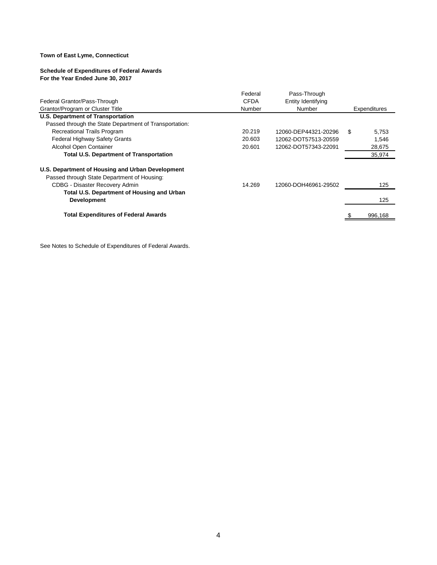#### **Schedule of Expenditures of Federal Awards For the Year Ended June 30, 2017**

|                                                        | Federal     | Pass-Through         |   |              |
|--------------------------------------------------------|-------------|----------------------|---|--------------|
| Federal Grantor/Pass-Through                           | <b>CFDA</b> | Entity Identifying   |   |              |
| Grantor/Program or Cluster Title                       | Number      | Number               |   | Expenditures |
| U.S. Department of Transportation                      |             |                      |   |              |
| Passed through the State Department of Transportation: |             |                      |   |              |
| <b>Recreational Trails Program</b>                     | 20.219      | 12060-DEP44321-20296 | S | 5,753        |
| <b>Federal Highway Safety Grants</b>                   | 20.603      | 12062-DOT57513-20559 |   | 1.546        |
| Alcohol Open Container                                 | 20.601      | 12062-DOT57343-22091 |   | 28,675       |
| <b>Total U.S. Department of Transportation</b>         |             |                      |   | 35,974       |
| U.S. Department of Housing and Urban Development       |             |                      |   |              |
| Passed through State Department of Housing:            |             |                      |   |              |
| <b>CDBG - Disaster Recovery Admin</b>                  | 14.269      | 12060-DOH46961-29502 |   | 125          |
| Total U.S. Department of Housing and Urban             |             |                      |   |              |
| <b>Development</b>                                     |             |                      |   | 125          |
| <b>Total Expenditures of Federal Awards</b>            |             |                      |   | 996,168      |

See Notes to Schedule of Expenditures of Federal Awards.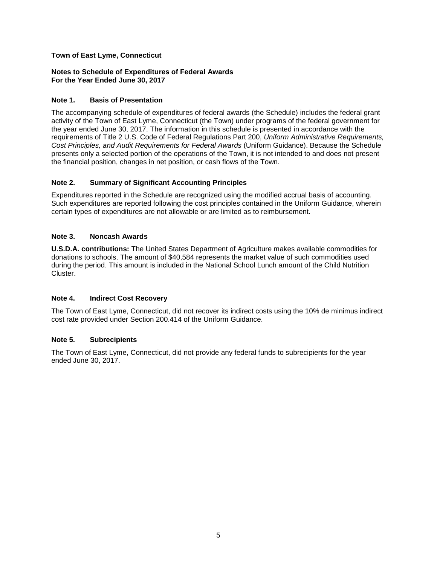#### **Notes to Schedule of Expenditures of Federal Awards For the Year Ended June 30, 2017**

## **Note 1. Basis of Presentation**

The accompanying schedule of expenditures of federal awards (the Schedule) includes the federal grant activity of the Town of East Lyme, Connecticut (the Town) under programs of the federal government for the year ended June 30, 2017. The information in this schedule is presented in accordance with the requirements of Title 2 U.S. Code of Federal Regulations Part 200, *Uniform Administrative Requirements, Cost Principles, and Audit Requirements for Federal Awards* (Uniform Guidance). Because the Schedule presents only a selected portion of the operations of the Town, it is not intended to and does not present the financial position, changes in net position, or cash flows of the Town.

# **Note 2. Summary of Significant Accounting Principles**

Expenditures reported in the Schedule are recognized using the modified accrual basis of accounting. Such expenditures are reported following the cost principles contained in the Uniform Guidance, wherein certain types of expenditures are not allowable or are limited as to reimbursement.

## **Note 3. Noncash Awards**

**U.S.D.A. contributions:** The United States Department of Agriculture makes available commodities for donations to schools. The amount of \$40,584 represents the market value of such commodities used during the period. This amount is included in the National School Lunch amount of the Child Nutrition Cluster.

# **Note 4. Indirect Cost Recovery**

The Town of East Lyme, Connecticut, did not recover its indirect costs using the 10% de minimus indirect cost rate provided under Section 200.414 of the Uniform Guidance.

## **Note 5. Subrecipients**

The Town of East Lyme, Connecticut, did not provide any federal funds to subrecipients for the year ended June 30, 2017.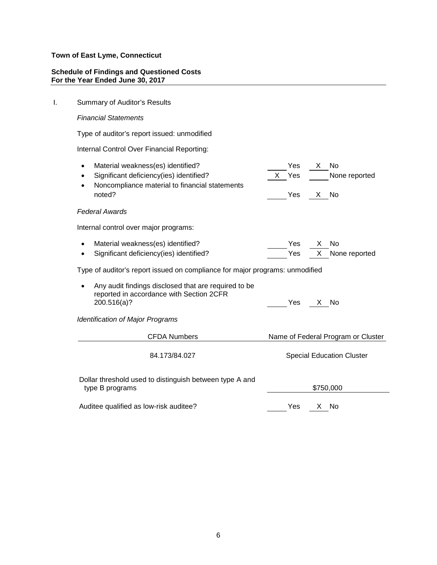# **Schedule of Findings and Questioned Costs For the Year Ended June 30, 2017**

# I. Summary of Auditor's Results

# *Financial Statements*

Type of auditor's report issued: unmodified

Internal Control Over Financial Reporting:

| ٠ | Material weakness(es) identified?<br>Significant deficiency(ies) identified?<br>Noncompliance material to financial statements<br>noted? | X. | Yes<br>Yes<br>Yes | No.<br>None reported<br>No. |
|---|------------------------------------------------------------------------------------------------------------------------------------------|----|-------------------|-----------------------------|
|   | Federal Awards                                                                                                                           |    |                   |                             |
|   | Internal control over major programs:                                                                                                    |    |                   |                             |
| ٠ | Material weakness(es) identified?                                                                                                        |    | Yes               | No.                         |
|   | Significant deficiency(ies) identified?                                                                                                  |    | Yes               | None reported               |

Type of auditor's report issued on compliance for major programs: unmodified

| • Any audit findings disclosed that are required to be<br>reported in accordance with Section 2CFR |     |      |  |
|----------------------------------------------------------------------------------------------------|-----|------|--|
| 200.516(a)?                                                                                        | Yes | X No |  |

*Identification of Major Programs*

| <b>CFDA Numbers</b>                                                        | Name of Federal Program or Cluster |  |  |  |
|----------------------------------------------------------------------------|------------------------------------|--|--|--|
| 84.173/84.027                                                              | <b>Special Education Cluster</b>   |  |  |  |
| Dollar threshold used to distinguish between type A and<br>type B programs | \$750,000                          |  |  |  |
| Auditee qualified as low-risk auditee?                                     | Yes<br>No.                         |  |  |  |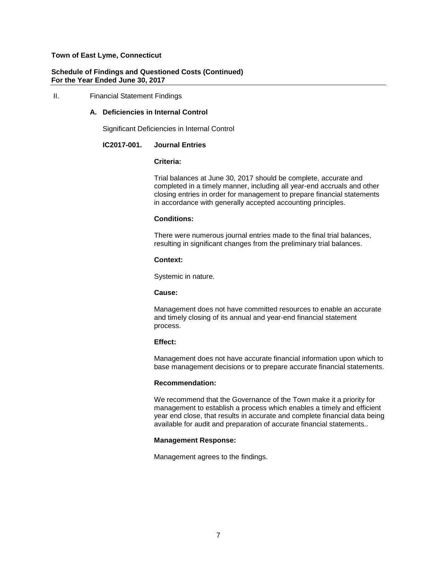#### **Schedule of Findings and Questioned Costs (Continued) For the Year Ended June 30, 2017**

#### II. Financial Statement Findings

## **A. Deficiencies in Internal Control**

Significant Deficiencies in Internal Control

## **IC2017-001. Journal Entries**

# **Criteria:**

Trial balances at June 30, 2017 should be complete, accurate and completed in a timely manner, including all year-end accruals and other closing entries in order for management to prepare financial statements in accordance with generally accepted accounting principles.

#### **Conditions:**

There were numerous journal entries made to the final trial balances, resulting in significant changes from the preliminary trial balances.

#### **Context:**

Systemic in nature.

## **Cause:**

Management does not have committed resources to enable an accurate and timely closing of its annual and year-end financial statement process.

## **Effect:**

Management does not have accurate financial information upon which to base management decisions or to prepare accurate financial statements.

#### **Recommendation:**

We recommend that the Governance of the Town make it a priority for management to establish a process which enables a timely and efficient year end close, that results in accurate and complete financial data being available for audit and preparation of accurate financial statements..

## **Management Response:**

Management agrees to the findings.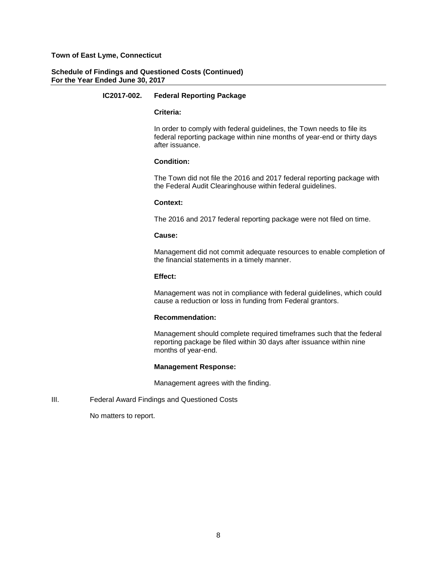## **Schedule of Findings and Questioned Costs (Continued) For the Year Ended June 30, 2017**

#### **IC2017-002. Federal Reporting Package**

#### **Criteria:**

In order to comply with federal guidelines, the Town needs to file its federal reporting package within nine months of year-end or thirty days after issuance.

#### **Condition:**

The Town did not file the 2016 and 2017 federal reporting package with the Federal Audit Clearinghouse within federal guidelines.

## **Context:**

The 2016 and 2017 federal reporting package were not filed on time.

#### **Cause:**

Management did not commit adequate resources to enable completion of the financial statements in a timely manner.

# **Effect:**

Management was not in compliance with federal guidelines, which could cause a reduction or loss in funding from Federal grantors.

#### **Recommendation:**

Management should complete required timeframes such that the federal reporting package be filed within 30 days after issuance within nine months of year-end.

#### **Management Response:**

Management agrees with the finding.

#### III. Federal Award Findings and Questioned Costs

No matters to report.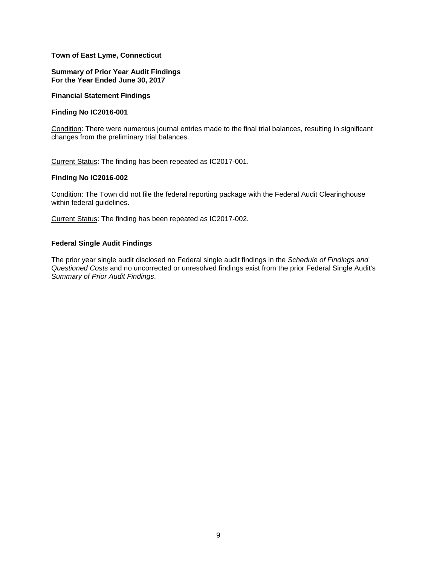## **Summary of Prior Year Audit Findings For the Year Ended June 30, 2017**

#### **Financial Statement Findings**

#### **Finding No IC2016-001**

Condition: There were numerous journal entries made to the final trial balances, resulting in significant changes from the preliminary trial balances.

Current Status: The finding has been repeated as IC2017-001.

#### **Finding No IC2016-002**

Condition: The Town did not file the federal reporting package with the Federal Audit Clearinghouse within federal guidelines.

Current Status: The finding has been repeated as IC2017-002.

## **Federal Single Audit Findings**

The prior year single audit disclosed no Federal single audit findings in the *Schedule of Findings and Questioned Costs* and no uncorrected or unresolved findings exist from the prior Federal Single Audit's *Summary of Prior Audit Findings*.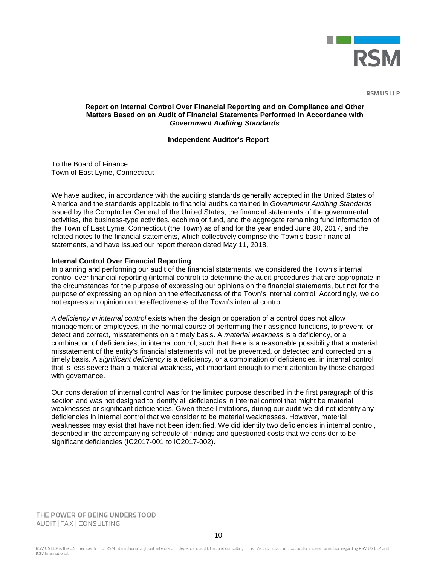

**RSMUSLIP** 

## **Report on Internal Control Over Financial Reporting and on Compliance and Other Matters Based on an Audit of Financial Statements Performed in Accordance with**  *Government Auditing Standards*

## **Independent Auditor's Report**

To the Board of Finance Town of East Lyme, Connecticut

We have audited, in accordance with the auditing standards generally accepted in the United States of America and the standards applicable to financial audits contained in *Government Auditing Standards* issued by the Comptroller General of the United States, the financial statements of the governmental activities, the business-type activities, each major fund, and the aggregate remaining fund information of the Town of East Lyme, Connecticut (the Town) as of and for the year ended June 30, 2017, and the related notes to the financial statements, which collectively comprise the Town's basic financial statements, and have issued our report thereon dated May 11, 2018.

#### **Internal Control Over Financial Reporting**

In planning and performing our audit of the financial statements, we considered the Town's internal control over financial reporting (internal control) to determine the audit procedures that are appropriate in the circumstances for the purpose of expressing our opinions on the financial statements, but not for the purpose of expressing an opinion on the effectiveness of the Town's internal control. Accordingly, we do not express an opinion on the effectiveness of the Town's internal control.

A *deficiency in internal control* exists when the design or operation of a control does not allow management or employees, in the normal course of performing their assigned functions, to prevent, or detect and correct, misstatements on a timely basis. A *material weakness* is a deficiency, or a combination of deficiencies, in internal control, such that there is a reasonable possibility that a material misstatement of the entity's financial statements will not be prevented, or detected and corrected on a timely basis. A *significant deficiency* is a deficiency, or a combination of deficiencies, in internal control that is less severe than a material weakness, yet important enough to merit attention by those charged with governance.

Our consideration of internal control was for the limited purpose described in the first paragraph of this section and was not designed to identify all deficiencies in internal control that might be material weaknesses or significant deficiencies. Given these limitations, during our audit we did not identify any deficiencies in internal control that we consider to be material weaknesses. However, material weaknesses may exist that have not been identified. We did identify two deficiencies in internal control, described in the accompanying schedule of findings and questioned costs that we consider to be significant deficiencies (IC2017-001 to IC2017-002).

THE POWER OF BEING UNDERSTOOD AUDIT | TAX | CONSULTING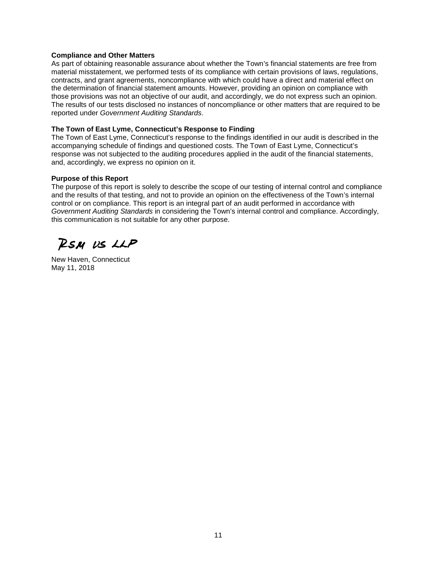## **Compliance and Other Matters**

As part of obtaining reasonable assurance about whether the Town's financial statements are free from material misstatement, we performed tests of its compliance with certain provisions of laws, regulations, contracts, and grant agreements, noncompliance with which could have a direct and material effect on the determination of financial statement amounts. However, providing an opinion on compliance with those provisions was not an objective of our audit, and accordingly, we do not express such an opinion. The results of our tests disclosed no instances of noncompliance or other matters that are required to be reported under *Government Auditing Standards*.

## **The Town of East Lyme, Connecticut's Response to Finding**

The Town of East Lyme, Connecticut's response to the findings identified in our audit is described in the accompanying schedule of findings and questioned costs. The Town of East Lyme, Connecticut's response was not subjected to the auditing procedures applied in the audit of the financial statements, and, accordingly, we express no opinion on it.

## **Purpose of this Report**

The purpose of this report is solely to describe the scope of our testing of internal control and compliance and the results of that testing, and not to provide an opinion on the effectiveness of the Town's internal control or on compliance. This report is an integral part of an audit performed in accordance with *Government Auditing Standards* in considering the Town's internal control and compliance. Accordingly, this communication is not suitable for any other purpose.

**RSM US LLP** 

New Haven, Connecticut May 11, 2018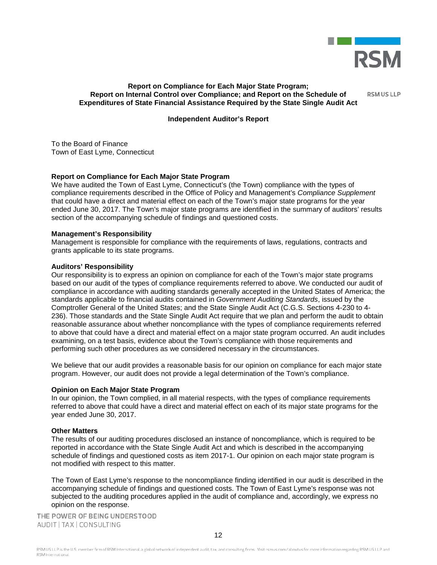

#### **Report on Compliance for Each Major State Program; Report on Internal Control over Compliance; and Report on the Schedule of Expenditures of State Financial Assistance Required by the State Single Audit Act**

**RSM US LLP** 

#### **Independent Auditor's Report**

To the Board of Finance Town of East Lyme, Connecticut

#### **Report on Compliance for Each Major State Program**

We have audited the Town of East Lyme, Connecticut's (the Town) compliance with the types of compliance requirements described in the Office of Policy and Management's *Compliance Supplement*  that could have a direct and material effect on each of the Town's major state programs for the year ended June 30, 2017. The Town's major state programs are identified in the summary of auditors' results section of the accompanying schedule of findings and questioned costs.

#### **Management's Responsibility**

Management is responsible for compliance with the requirements of laws, regulations, contracts and grants applicable to its state programs.

## **Auditors' Responsibility**

Our responsibility is to express an opinion on compliance for each of the Town's major state programs based on our audit of the types of compliance requirements referred to above. We conducted our audit of compliance in accordance with auditing standards generally accepted in the United States of America; the standards applicable to financial audits contained in *Government Auditing Standards*, issued by the Comptroller General of the United States; and the State Single Audit Act (C.G.S. Sections 4-230 to 4- 236). Those standards and the State Single Audit Act require that we plan and perform the audit to obtain reasonable assurance about whether noncompliance with the types of compliance requirements referred to above that could have a direct and material effect on a major state program occurred. An audit includes examining, on a test basis, evidence about the Town's compliance with those requirements and performing such other procedures as we considered necessary in the circumstances.

We believe that our audit provides a reasonable basis for our opinion on compliance for each major state program. However, our audit does not provide a legal determination of the Town's compliance.

## **Opinion on Each Major State Program**

In our opinion, the Town complied, in all material respects, with the types of compliance requirements referred to above that could have a direct and material effect on each of its major state programs for the year ended June 30, 2017.

#### **Other Matters**

The results of our auditing procedures disclosed an instance of noncompliance, which is required to be reported in accordance with the State Single Audit Act and which is described in the accompanying schedule of findings and questioned costs as item 2017-1. Our opinion on each major state program is not modified with respect to this matter.

The Town of East Lyme's response to the noncompliance finding identified in our audit is described in the accompanying schedule of findings and questioned costs. The Town of East Lyme's response was not subjected to the auditing procedures applied in the audit of compliance and, accordingly, we express no opinion on the response.

THE POWER OF BEING UNDERSTOOD AUDIT | TAX | CONSULTING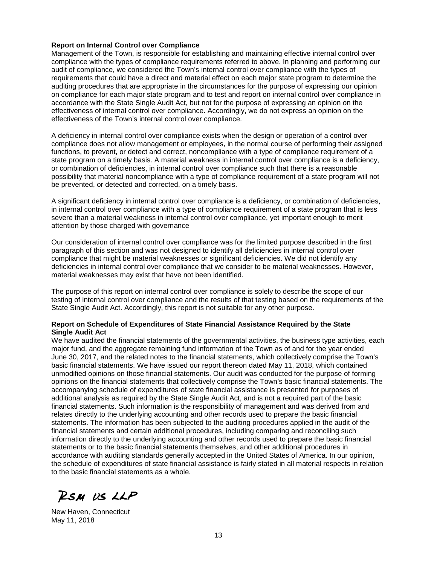## **Report on Internal Control over Compliance**

Management of the Town, is responsible for establishing and maintaining effective internal control over compliance with the types of compliance requirements referred to above. In planning and performing our audit of compliance, we considered the Town's internal control over compliance with the types of requirements that could have a direct and material effect on each major state program to determine the auditing procedures that are appropriate in the circumstances for the purpose of expressing our opinion on compliance for each major state program and to test and report on internal control over compliance in accordance with the State Single Audit Act, but not for the purpose of expressing an opinion on the effectiveness of internal control over compliance. Accordingly, we do not express an opinion on the effectiveness of the Town's internal control over compliance.

A deficiency in internal control over compliance exists when the design or operation of a control over compliance does not allow management or employees, in the normal course of performing their assigned functions, to prevent, or detect and correct, noncompliance with a type of compliance requirement of a state program on a timely basis. A material weakness in internal control over compliance is a deficiency, or combination of deficiencies, in internal control over compliance such that there is a reasonable possibility that material noncompliance with a type of compliance requirement of a state program will not be prevented, or detected and corrected, on a timely basis.

A significant deficiency in internal control over compliance is a deficiency, or combination of deficiencies, in internal control over compliance with a type of compliance requirement of a state program that is less severe than a material weakness in internal control over compliance, yet important enough to merit attention by those charged with governance

Our consideration of internal control over compliance was for the limited purpose described in the first paragraph of this section and was not designed to identify all deficiencies in internal control over compliance that might be material weaknesses or significant deficiencies. We did not identify any deficiencies in internal control over compliance that we consider to be material weaknesses. However, material weaknesses may exist that have not been identified.

The purpose of this report on internal control over compliance is solely to describe the scope of our testing of internal control over compliance and the results of that testing based on the requirements of the State Single Audit Act. Accordingly, this report is not suitable for any other purpose.

#### **Report on Schedule of Expenditures of State Financial Assistance Required by the State Single Audit Act**

We have audited the financial statements of the governmental activities, the business type activities, each major fund, and the aggregate remaining fund information of the Town as of and for the year ended June 30, 2017, and the related notes to the financial statements, which collectively comprise the Town's basic financial statements. We have issued our report thereon dated May 11, 2018, which contained unmodified opinions on those financial statements. Our audit was conducted for the purpose of forming opinions on the financial statements that collectively comprise the Town's basic financial statements. The accompanying schedule of expenditures of state financial assistance is presented for purposes of additional analysis as required by the State Single Audit Act, and is not a required part of the basic financial statements. Such information is the responsibility of management and was derived from and relates directly to the underlying accounting and other records used to prepare the basic financial statements. The information has been subjected to the auditing procedures applied in the audit of the financial statements and certain additional procedures, including comparing and reconciling such information directly to the underlying accounting and other records used to prepare the basic financial statements or to the basic financial statements themselves, and other additional procedures in accordance with auditing standards generally accepted in the United States of America. In our opinion, the schedule of expenditures of state financial assistance is fairly stated in all material respects in relation to the basic financial statements as a whole.

**RSM US LLP** 

New Haven, Connecticut May 11, 2018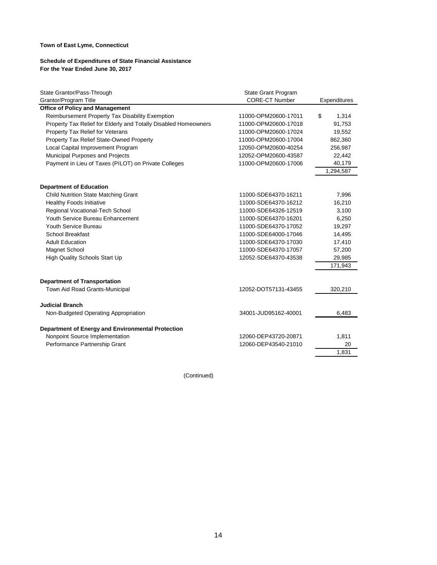## **Schedule of Expenditures of State Financial Assistance For the Year Ended June 30, 2017**

| State Grantor/Pass-Through                                      | <b>State Grant Program</b> |              |
|-----------------------------------------------------------------|----------------------------|--------------|
| Grantor/Program Title                                           | <b>CORE-CT Number</b>      | Expenditures |
| <b>Office of Policy and Management</b>                          |                            |              |
| Reimbursement Property Tax Disability Exemption                 | 11000-OPM20600-17011       | \$<br>1,314  |
| Property Tax Relief for Elderly and Totally Disabled Homeowners | 11000-OPM20600-17018       | 91,753       |
| Property Tax Relief for Veterans                                | 11000-OPM20600-17024       | 19,552       |
| Property Tax Relief State-Owned Property                        | 11000-OPM20600-17004       | 862,360      |
| Local Capital Improvement Program                               | 12050-OPM20600-40254       | 256,987      |
| Municipal Purposes and Projects                                 | 12052-OPM20600-43587       | 22,442       |
| Payment in Lieu of Taxes (PILOT) on Private Colleges            | 11000-OPM20600-17006       | 40,179       |
|                                                                 |                            | 1,294,587    |
| <b>Department of Education</b>                                  |                            |              |
| <b>Child Nutrition State Matching Grant</b>                     | 11000-SDE64370-16211       | 7,996        |
| <b>Healthy Foods Initiative</b>                                 | 11000-SDE64370-16212       | 16,210       |
| Regional Vocational-Tech School                                 | 11000-SDE64326-12519       | 3,100        |
| Youth Service Bureau Enhancement                                | 11000-SDE64370-16201       | 6,250        |
| Youth Service Bureau                                            | 11000-SDE64370-17052       | 19,297       |
| <b>School Breakfast</b>                                         | 11000-SDE64000-17046       | 14,495       |
| <b>Adult Education</b>                                          | 11000-SDE64370-17030       | 17,410       |
| Magnet School                                                   | 11000-SDE64370-17057       | 57,200       |
| <b>High Quality Schools Start Up</b>                            | 12052-SDE64370-43538       | 29,985       |
|                                                                 |                            | 171,943      |
| <b>Department of Transportation</b>                             |                            |              |
| Town Aid Road Grants-Municipal                                  | 12052-DOT57131-43455       | 320,210      |
| <b>Judicial Branch</b>                                          |                            |              |
| Non-Budgeted Operating Appropriation                            | 34001-JUD95162-40001       | 6,483        |
|                                                                 |                            |              |
| Department of Energy and Environmental Protection               |                            |              |
| Nonpoint Source Implementation                                  | 12060-DEP43720-20871       | 1,811        |
| Performance Partnership Grant                                   | 12060-DEP43540-21010       | 20           |
|                                                                 |                            | 1.831        |

(Continued)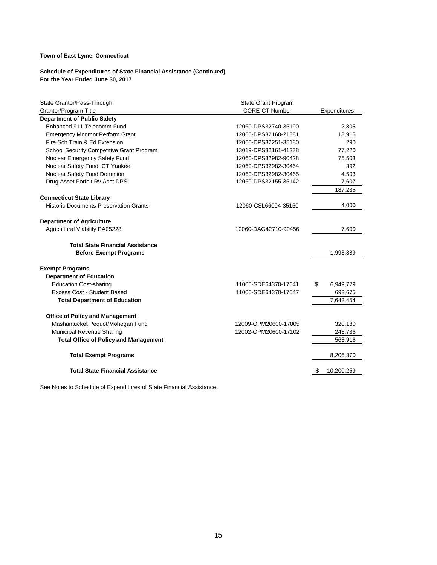#### **Schedule of Expenditures of State Financial Assistance (Continued) For the Year Ended June 30, 2017**

| State Grantor/Pass-Through                    | State Grant Program   |    |              |
|-----------------------------------------------|-----------------------|----|--------------|
| Grantor/Program Title                         | <b>CORE-CT Number</b> |    | Expenditures |
| <b>Department of Public Safety</b>            |                       |    |              |
| Enhanced 911 Telecomm Fund                    | 12060-DPS32740-35190  |    | 2,805        |
| <b>Emergency Mngmnt Perform Grant</b>         | 12060-DPS32160-21881  |    | 18,915       |
| Fire Sch Train & Ed Extension                 | 12060-DPS32251-35180  |    | 290          |
| School Security Competitive Grant Program     | 13019-DPS32161-41238  |    | 77,220       |
| Nuclear Emergency Safety Fund                 | 12060-DPS32982-90428  |    | 75,503       |
| Nuclear Safety Fund CT Yankee                 | 12060-DPS32982-30464  |    | 392          |
| Nuclear Safety Fund Dominion                  | 12060-DPS32982-30465  |    | 4,503        |
| Drug Asset Forfeit Rv Acct DPS                | 12060-DPS32155-35142  |    | 7,607        |
|                                               |                       |    | 187,235      |
| <b>Connecticut State Library</b>              |                       |    |              |
| <b>Historic Documents Preservation Grants</b> | 12060-CSL66094-35150  |    | 4,000        |
| <b>Department of Agriculture</b>              |                       |    |              |
| Agricultural Viability PA05228                | 12060-DAG42710-90456  |    | 7,600        |
|                                               |                       |    |              |
| <b>Total State Financial Assistance</b>       |                       |    |              |
| <b>Before Exempt Programs</b>                 |                       |    | 1,993,889    |
| <b>Exempt Programs</b>                        |                       |    |              |
| <b>Department of Education</b>                |                       |    |              |
| <b>Education Cost-sharing</b>                 | 11000-SDE64370-17041  | \$ | 6,949,779    |
| Excess Cost - Student Based                   | 11000-SDE64370-17047  |    | 692,675      |
| <b>Total Department of Education</b>          |                       |    | 7,642,454    |
|                                               |                       |    |              |
| <b>Office of Policy and Management</b>        |                       |    |              |
| Mashantucket Pequot/Mohegan Fund              | 12009-OPM20600-17005  |    | 320,180      |
| Municipal Revenue Sharing                     | 12002-OPM20600-17102  |    | 243,736      |
| <b>Total Office of Policy and Management</b>  |                       |    | 563,916      |
| <b>Total Exempt Programs</b>                  |                       |    | 8,206,370    |
| <b>Total State Financial Assistance</b>       |                       | S  | 10,200,259   |
|                                               |                       |    |              |

See Notes to Schedule of Expenditures of State Financial Assistance.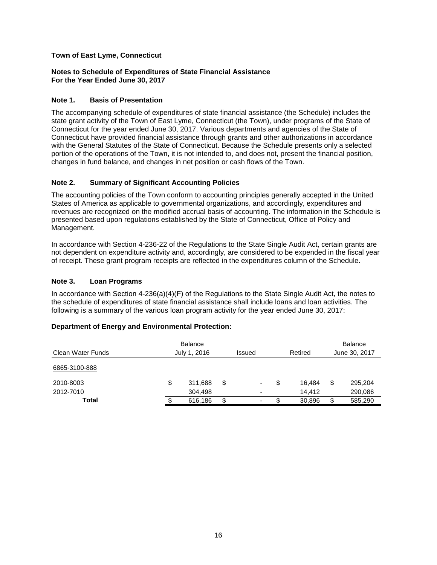## **Notes to Schedule of Expenditures of State Financial Assistance For the Year Ended June 30, 2017**

## **Note 1. Basis of Presentation**

The accompanying schedule of expenditures of state financial assistance (the Schedule) includes the state grant activity of the Town of East Lyme, Connecticut (the Town), under programs of the State of Connecticut for the year ended June 30, 2017. Various departments and agencies of the State of Connecticut have provided financial assistance through grants and other authorizations in accordance with the General Statutes of the State of Connecticut. Because the Schedule presents only a selected portion of the operations of the Town, it is not intended to, and does not, present the financial position, changes in fund balance, and changes in net position or cash flows of the Town.

# **Note 2. Summary of Significant Accounting Policies**

The accounting policies of the Town conform to accounting principles generally accepted in the United States of America as applicable to governmental organizations, and accordingly, expenditures and revenues are recognized on the modified accrual basis of accounting. The information in the Schedule is presented based upon regulations established by the State of Connecticut, Office of Policy and Management.

In accordance with Section 4-236-22 of the Regulations to the State Single Audit Act, certain grants are not dependent on expenditure activity and, accordingly, are considered to be expended in the fiscal year of receipt. These grant program receipts are reflected in the expenditures column of the Schedule.

# **Note 3. Loan Programs**

In accordance with Section 4-236(a)(4)(F) of the Regulations to the State Single Audit Act, the notes to the schedule of expenditures of state financial assistance shall include loans and loan activities. The following is a summary of the various loan program activity for the year ended June 30, 2017:

## **Department of Energy and Environmental Protection:**

|                   |              | <b>Balance</b> |   |                          |         |        |    | <b>Balance</b> |
|-------------------|--------------|----------------|---|--------------------------|---------|--------|----|----------------|
| Clean Water Funds | July 1, 2016 |                |   | <b>Issued</b>            | Retired |        |    | June 30, 2017  |
| 6865-3100-888     |              |                |   |                          |         |        |    |                |
| 2010-8003         | \$           | 311.688        | S | $\sim$                   | \$      | 16.484 | \$ | 295.204        |
| 2012-7010         |              | 304.498        |   | $\overline{\phantom{a}}$ |         | 14.412 |    | 290,086        |
| Total             |              | 616,186        |   | $\overline{\phantom{0}}$ |         | 30,896 | \$ | 585,290        |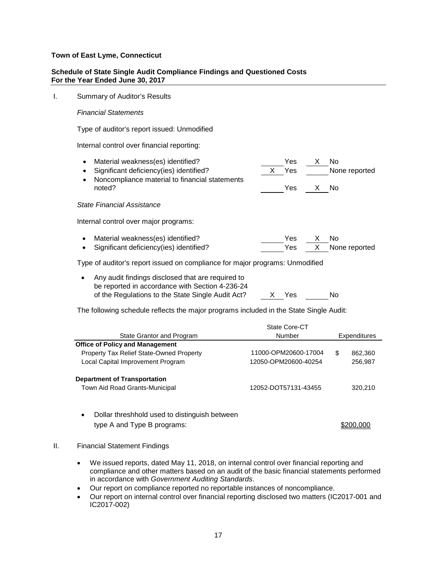#### **Schedule of State Single Audit Compliance Findings and Questioned Costs For the Year Ended June 30, 2017**

I. Summary of Auditor's Results

#### *Financial Statements*

Type of auditor's report issued: Unmodified

Internal control over financial reporting:

• Material weakness(es) identified? The Material weakness and the Material Material weakness when  $X$  No • Significant deficiency(ies) identified?  $\overline{X}$  Yes None reported • Noncompliance material to financial statements noted? X No

#### *State Financial Assistance*

Internal control over major programs:

- Material weakness(es) identified? The Material Wes X No
- Significant deficiency(ies) identified? Yes X None reported

Type of auditor's report issued on compliance for major programs: Unmodified

| • Any audit findings disclosed that are required to |     |    |
|-----------------------------------------------------|-----|----|
| be reported in accordance with Section 4-236-24     |     |    |
| of the Regulations to the State Single Audit Act?   | Yes | No |

The following schedule reflects the major programs included in the State Single Audit:

|                                                            | State Core-CT        |    |              |  |  |
|------------------------------------------------------------|----------------------|----|--------------|--|--|
| State Grantor and Program                                  | Number               |    | Expenditures |  |  |
| <b>Office of Policy and Management</b>                     |                      |    |              |  |  |
| <b>Property Tax Relief State-Owned Property</b>            | 11000-OPM20600-17004 | \$ | 862,360      |  |  |
| Local Capital Improvement Program                          | 12050-OPM20600-40254 |    | 256,987      |  |  |
| <b>Department of Transportation</b>                        |                      |    |              |  |  |
| Town Aid Road Grants-Municipal                             | 12052-DOT57131-43455 |    | 320,210      |  |  |
|                                                            |                      |    |              |  |  |
| Dollar threshhold used to distinguish between<br>$\bullet$ |                      |    |              |  |  |

- type A and Type B programs:  $$200,000$
- II. Financial Statement Findings
	- We issued reports, dated May 11, 2018, on internal control over financial reporting and compliance and other matters based on an audit of the basic financial statements performed in accordance with *Government Auditing Standards*.
	- Our report on compliance reported no reportable instances of noncompliance.
	- Our report on internal control over financial reporting disclosed two matters (IC2017-001 and IC2017-002)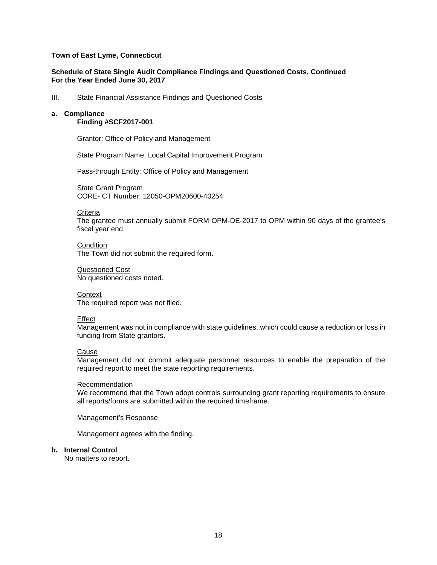#### **Schedule of State Single Audit Compliance Findings and Questioned Costs, Continued For the Year Ended June 30, 2017**

#### III. State Financial Assistance Findings and Questioned Costs

# **a. Compliance**

## **Finding #SCF2017-001**

Grantor: Office of Policy and Management

State Program Name: Local Capital Improvement Program

Pass-through Entity: Office of Policy and Management

State Grant Program CORE- CT Number: 12050-OPM20600-40254

**Criteria** 

The grantee must annually submit FORM OPM-DE-2017 to OPM within 90 days of the grantee's fiscal year end.

**Condition** The Town did not submit the required form.

Questioned Cost No questioned costs noted.

**Context** The required report was not filed.

Effect

Management was not in compliance with state guidelines, which could cause a reduction or loss in funding from State grantors.

#### Cause

Management did not commit adequate personnel resources to enable the preparation of the required report to meet the state reporting requirements.

#### Recommendation

We recommend that the Town adopt controls surrounding grant reporting requirements to ensure all reports/forms are submitted within the required timeframe.

#### Management's Response

Management agrees with the finding.

#### **b. Internal Control**

No matters to report.